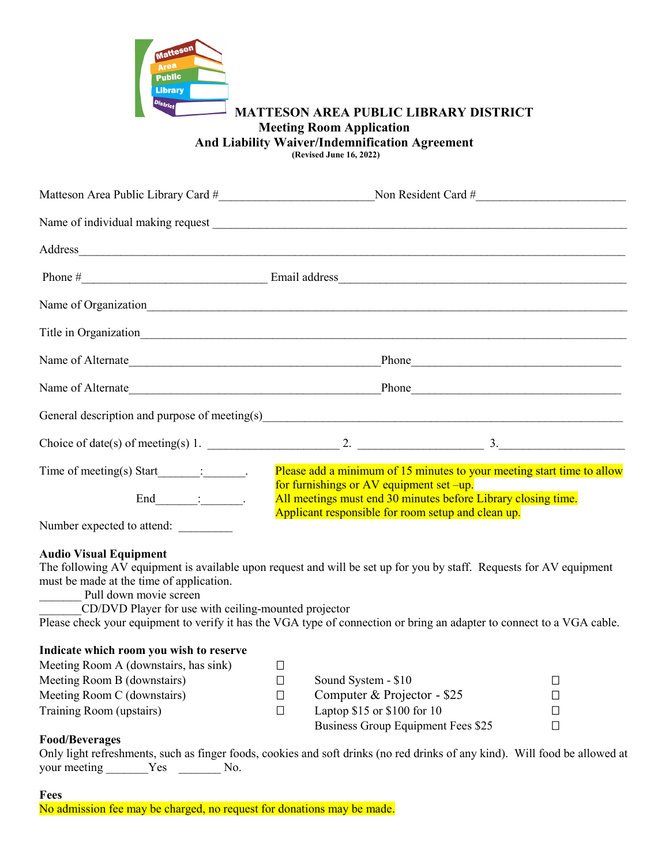

### **MATTESON AREA PUBLIC LIBRARY DISTRICT Meeting Room Application And Liability Waiver/Indemnification Agreement (Revised June 16, 2022)**

|                                                | Matteson Area Public Library Card #<br>1990 - Non Resident Card #                                                                                                                                                              |  |
|------------------------------------------------|--------------------------------------------------------------------------------------------------------------------------------------------------------------------------------------------------------------------------------|--|
|                                                |                                                                                                                                                                                                                                |  |
|                                                |                                                                                                                                                                                                                                |  |
|                                                |                                                                                                                                                                                                                                |  |
|                                                | Name of Organization<br><u>Name of Organization</u>                                                                                                                                                                            |  |
|                                                |                                                                                                                                                                                                                                |  |
|                                                | Name of Alternate Phone Phone Phone Phone Phone Phone Phone Phone Phone Phone Phone Phone Phone Phone Phone Phone Phone Phone Phone Phone Phone Phone Phone Phone Phone Phone Phone Phone Phone Phone Phone Phone Phone Phone  |  |
|                                                |                                                                                                                                                                                                                                |  |
|                                                | General description and purpose of meeting(s) example and the state of the state of the state of the state of the state of the state of the state of the state of the state of the state of the state of the state of the stat |  |
|                                                |                                                                                                                                                                                                                                |  |
| Time of meeting(s) Start $\_\_\_\_\_\_\_\_\$ . | Please add a minimum of 15 minutes to your meeting start time to allow                                                                                                                                                         |  |
| $End$ :                                        | for furnishings or AV equipment set -up.<br>All meetings must end 30 minutes before Library closing time.<br>Applicant responsible for room setup and clean up.                                                                |  |
| Number expected to attend:                     |                                                                                                                                                                                                                                |  |

**Audio Visual Equipment**

The following AV equipment is available upon request and will be set up for you by staff. Requests for AV equipment must be made at the time of application.

Pull down movie screen

\_\_\_\_\_\_\_CD/DVD Player for use with ceiling-mounted projector

Please check your equipment to verify it has the VGA type of connection or bring an adapter to connect to a VGA cable.

### **Indicate which room you wish to reserve**

| Meeting Room A (downstairs, has sink) |                                    |  |
|---------------------------------------|------------------------------------|--|
| Meeting Room B (downstairs)           | Sound System - \$10                |  |
| Meeting Room C (downstairs)           | Computer & Projector - $$25$       |  |
| Training Room (upstairs)              | Laptop $$15$ or $$100$ for 10      |  |
|                                       | Business Group Equipment Fees \$25 |  |

### **Food/Beverages**

Only light refreshments, such as finger foods, cookies and soft drinks (no red drinks of any kind). Will food be allowed at your meeting  $Yes$  No.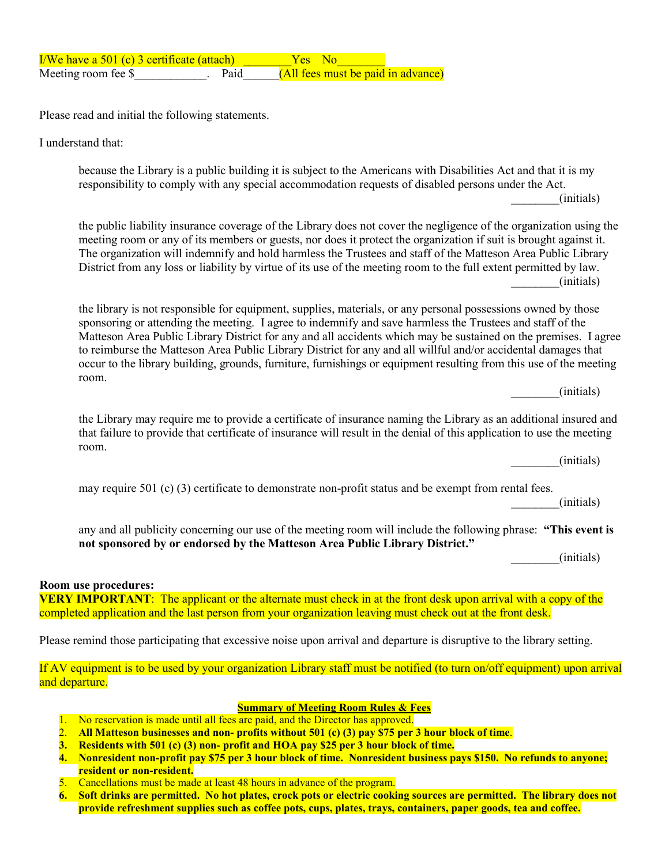| $I/We$ have a 501 (c) 3 certificate (attach) |      | Yes No                             |  |
|----------------------------------------------|------|------------------------------------|--|
| Meeting room fee \$                          | Paid | (All fees must be paid in advance) |  |

Please read and initial the following statements.

I understand that:

because the Library is a public building it is subject to the Americans with Disabilities Act and that it is my responsibility to comply with any special accommodation requests of disabled persons under the Act.

\_\_\_\_\_\_\_\_(initials)

the public liability insurance coverage of the Library does not cover the negligence of the organization using the meeting room or any of its members or guests, nor does it protect the organization if suit is brought against it. The organization will indemnify and hold harmless the Trustees and staff of the Matteson Area Public Library District from any loss or liability by virtue of its use of the meeting room to the full extent permitted by law. \_\_\_\_\_\_\_\_(initials)

the library is not responsible for equipment, supplies, materials, or any personal possessions owned by those sponsoring or attending the meeting. I agree to indemnify and save harmless the Trustees and staff of the Matteson Area Public Library District for any and all accidents which may be sustained on the premises. I agree to reimburse the Matteson Area Public Library District for any and all willful and/or accidental damages that occur to the library building, grounds, furniture, furnishings or equipment resulting from this use of the meeting room.

\_\_\_\_\_\_\_\_(initials)

the Library may require me to provide a certificate of insurance naming the Library as an additional insured and that failure to provide that certificate of insurance will result in the denial of this application to use the meeting room.

\_\_\_\_\_\_\_\_(initials)

may require 501 (c) (3) certificate to demonstrate non-profit status and be exempt from rental fees.

\_\_\_\_\_\_\_\_(initials)

any and all publicity concerning our use of the meeting room will include the following phrase: **"This event is not sponsored by or endorsed by the Matteson Area Public Library District."**

\_\_\_\_\_\_\_\_(initials)

#### **Room use procedures:**

**VERY IMPORTANT:** The applicant or the alternate must check in at the front desk upon arrival with a copy of the completed application and the last person from your organization leaving must check out at the front desk.

Please remind those participating that excessive noise upon arrival and departure is disruptive to the library setting.

If AV equipment is to be used by your organization Library staff must be notified (to turn on/off equipment) upon arrival and departure.

#### **Summary of Meeting Room Rules & Fees**

- 1. No reservation is made until all fees are paid, and the Director has approved.
- 2. **All Matteson businesses and non- profits without 501 (c) (3) pay \$75 per 3 hour block of time**.
- **3. Residents with 501 (c) (3) non- profit and HOA pay \$25 per 3 hour block of time.**
- **4. Nonresident non-profit pay \$75 per 3 hour block of time. Nonresident business pays \$150. No refunds to anyone; resident or non-resident.**
- 5. Cancellations must be made at least 48 hours in advance of the program.
- **6. Soft drinks are permitted. No hot plates, crock pots or electric cooking sources are permitted. The library does not provide refreshment supplies such as coffee pots, cups, plates, trays, containers, paper goods, tea and coffee.**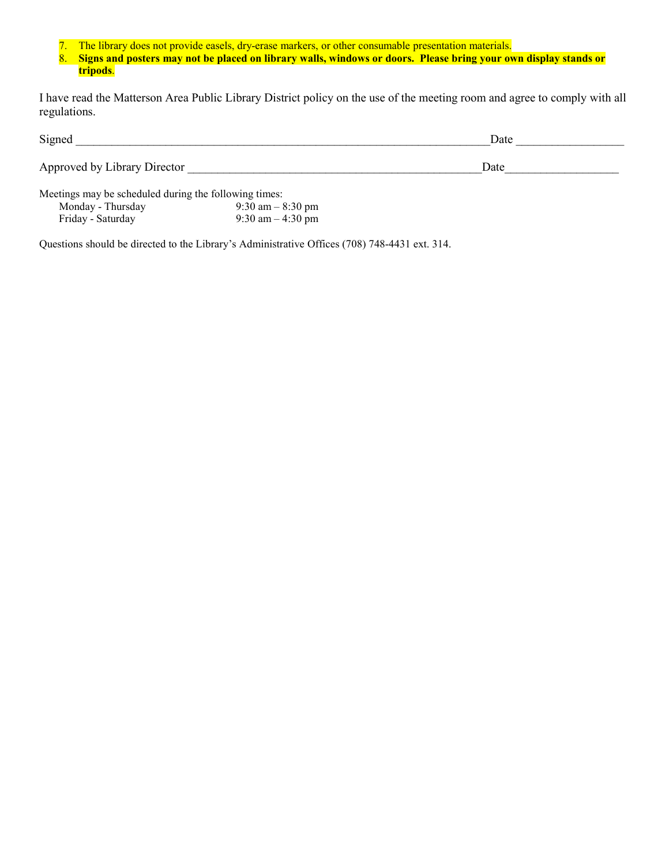7. The library does not provide easels, dry-erase markers, or other consumable presentation materials.

8. **Signs and posters may not be placed on library walls, windows or doors. Please bring your own display stands or tripods**.

I have read the Matterson Area Public Library District policy on the use of the meeting room and agree to comply with all regulations.

| Signed                       | Date |  |
|------------------------------|------|--|
| Approved by Library Director | Date |  |

Meetings may be scheduled during the following times: Monday - Thursday 9:30 am –  $8:30 \text{ pm}$ Friday - Saturday 9:30 am – 4:30 pm

Questions should be directed to the Library's Administrative Offices (708) 748-4431 ext. 314.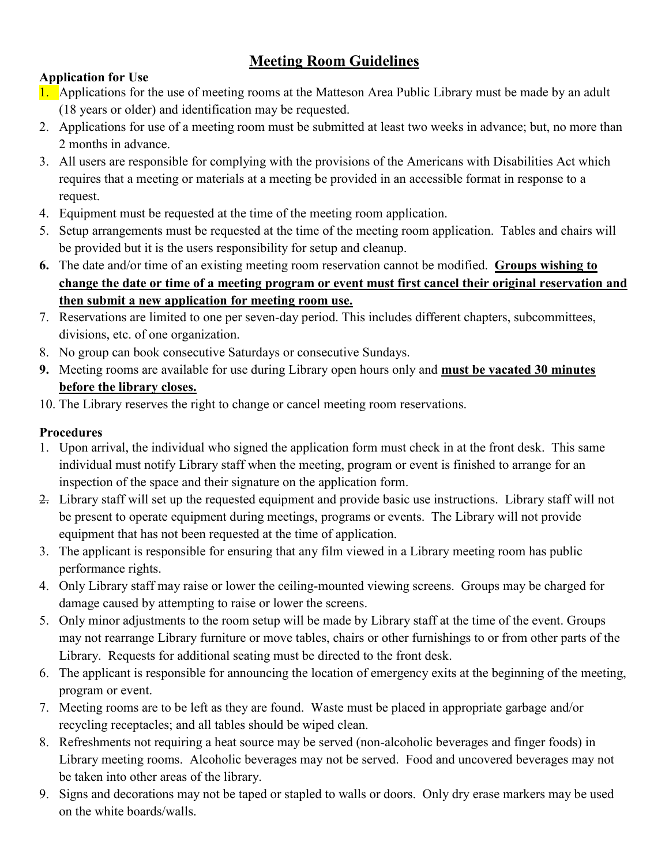# **Meeting Room Guidelines**

# **Application for Use**

- 1. Applications for the use of meeting rooms at the Matteson Area Public Library must be made by an adult (18 years or older) and identification may be requested.
- 2. Applications for use of a meeting room must be submitted at least two weeks in advance; but, no more than 2 months in advance.
- 3. All users are responsible for complying with the provisions of the Americans with Disabilities Act which requires that a meeting or materials at a meeting be provided in an accessible format in response to a request.
- 4. Equipment must be requested at the time of the meeting room application.
- 5. Setup arrangements must be requested at the time of the meeting room application. Tables and chairs will be provided but it is the users responsibility for setup and cleanup.
- **6.** The date and/or time of an existing meeting room reservation cannot be modified. **Groups wishing to change the date or time of a meeting program or event must first cancel their original reservation and then submit a new application for meeting room use.**
- 7. Reservations are limited to one per seven-day period. This includes different chapters, subcommittees, divisions, etc. of one organization.
- 8. No group can book consecutive Saturdays or consecutive Sundays.
- **9.** Meeting rooms are available for use during Library open hours only and **must be vacated 30 minutes before the library closes.**
- 10. The Library reserves the right to change or cancel meeting room reservations.

# **Procedures**

- 1. Upon arrival, the individual who signed the application form must check in at the front desk. This same individual must notify Library staff when the meeting, program or event is finished to arrange for an inspection of the space and their signature on the application form.
- 2. Library staff will set up the requested equipment and provide basic use instructions. Library staff will not be present to operate equipment during meetings, programs or events. The Library will not provide equipment that has not been requested at the time of application.
- 3. The applicant is responsible for ensuring that any film viewed in a Library meeting room has public performance rights.
- 4. Only Library staff may raise or lower the ceiling-mounted viewing screens. Groups may be charged for damage caused by attempting to raise or lower the screens.
- 5. Only minor adjustments to the room setup will be made by Library staff at the time of the event. Groups may not rearrange Library furniture or move tables, chairs or other furnishings to or from other parts of the Library. Requests for additional seating must be directed to the front desk.
- 6. The applicant is responsible for announcing the location of emergency exits at the beginning of the meeting, program or event.
- 7. Meeting rooms are to be left as they are found. Waste must be placed in appropriate garbage and/or recycling receptacles; and all tables should be wiped clean.
- 8. Refreshments not requiring a heat source may be served (non-alcoholic beverages and finger foods) in Library meeting rooms. Alcoholic beverages may not be served. Food and uncovered beverages may not be taken into other areas of the library.
- 9. Signs and decorations may not be taped or stapled to walls or doors. Only dry erase markers may be used on the white boards/walls.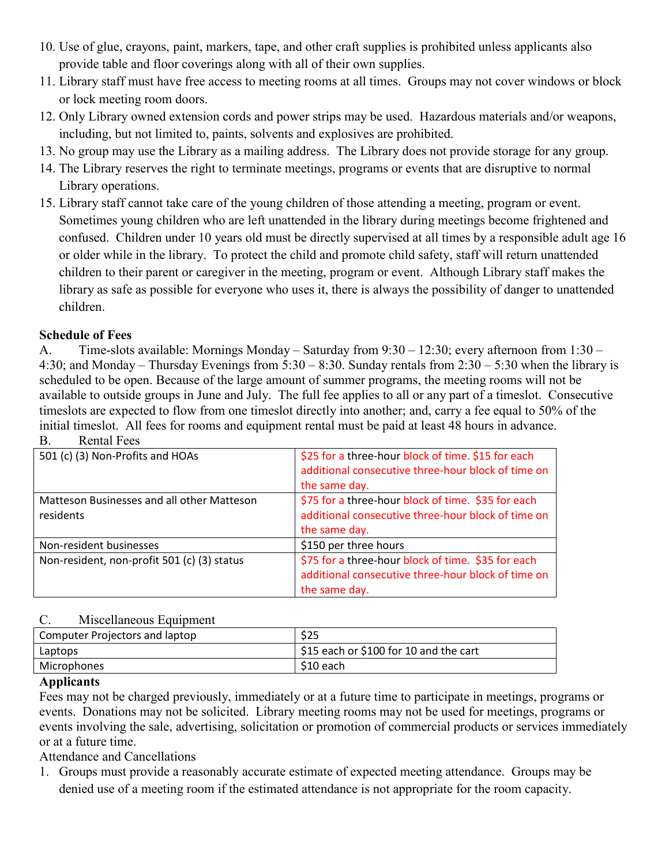- 10. Use of glue, crayons, paint, markers, tape, and other craft supplies is prohibited unless applicants also provide table and floor coverings along with all of their own supplies.
- 11. Library staff must have free access to meeting rooms at all times. Groups may not cover windows or block or lock meeting room doors.
- 12. Only Library owned extension cords and power strips may be used. Hazardous materials and/or weapons, including, but not limited to, paints, solvents and explosives are prohibited.
- 13. No group may use the Library as a mailing address. The Library does not provide storage for any group.
- 14. The Library reserves the right to terminate meetings, programs or events that are disruptive to normal Library operations.
- 15. Library staff cannot take care of the young children of those attending a meeting, program or event. Sometimes young children who are left unattended in the library during meetings become frightened and confused. Children under 10 years old must be directly supervised at all times by a responsible adult age 16 or older while in the library. To protect the child and promote child safety, staff will return unattended children to their parent or caregiver in the meeting, program or event. Although Library staff makes the library as safe as possible for everyone who uses it, there is always the possibility of danger to unattended children.

## **Schedule of Fees**

A. Time-slots available: Mornings Monday – Saturday from 9:30 – 12:30; every afternoon from 1:30 – 4:30; and Monday – Thursday Evenings from 5:30 – 8:30. Sunday rentals from 2:30 – 5:30 when the library is scheduled to be open. Because of the large amount of summer programs, the meeting rooms will not be available to outside groups in June and July. The full fee applies to all or any part of a timeslot. Consecutive timeslots are expected to flow from one timeslot directly into another; and, carry a fee equal to 50% of the initial timeslot. All fees for rooms and equipment rental must be paid at least 48 hours in advance. B. Rental Fees

| 501 (c) (3) Non-Profits and HOAs                        | \$25 for a three-hour block of time. \$15 for each<br>additional consecutive three-hour block of time on<br>the same day. |
|---------------------------------------------------------|---------------------------------------------------------------------------------------------------------------------------|
| Matteson Businesses and all other Matteson<br>residents | \$75 for a three-hour block of time. \$35 for each<br>additional consecutive three-hour block of time on<br>the same day. |
| Non-resident businesses                                 | \$150 per three hours                                                                                                     |
| Non-resident, non-profit 501 (c) (3) status             | \$75 for a three-hour block of time. \$35 for each<br>additional consecutive three-hour block of time on<br>the same day. |

## C. Miscellaneous Equipment

| Computer Projectors and laptop | \$25                                                 |
|--------------------------------|------------------------------------------------------|
| Laptops                        | $\frac{1}{2}$ \$15 each or \$100 for 10 and the cart |
| Microphones                    | $$10$ each                                           |
|                                |                                                      |

## **Applicants**

Fees may not be charged previously, immediately or at a future time to participate in meetings, programs or events. Donations may not be solicited. Library meeting rooms may not be used for meetings, programs or events involving the sale, advertising, solicitation or promotion of commercial products or services immediately or at a future time.

Attendance and Cancellations

1. Groups must provide a reasonably accurate estimate of expected meeting attendance. Groups may be denied use of a meeting room if the estimated attendance is not appropriate for the room capacity.